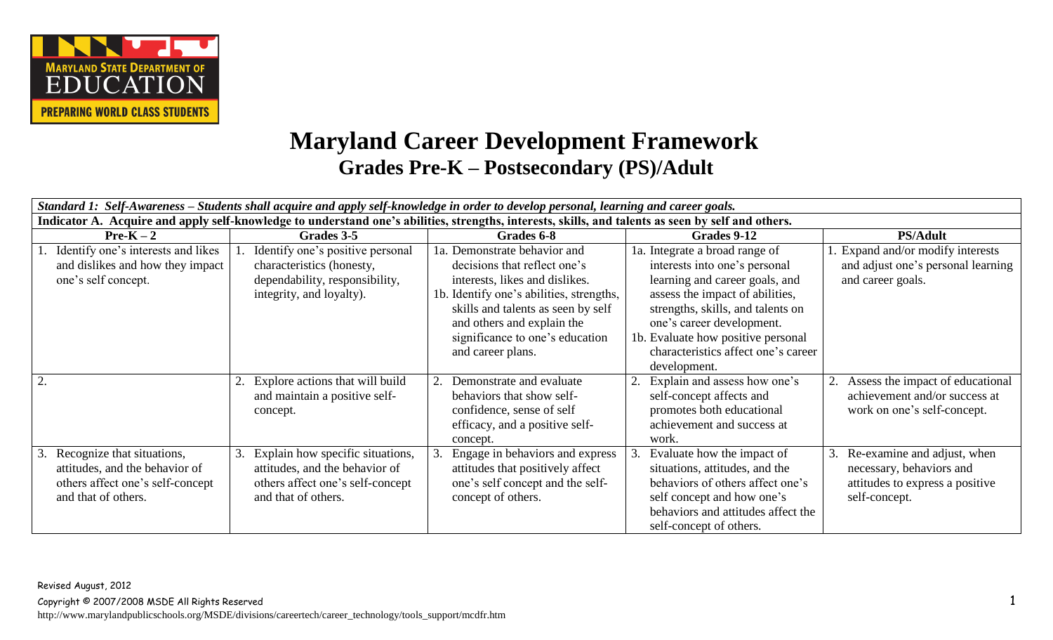

## **Maryland Career Development Framework Grades Pre-K – Postsecondary (PS)/Adult**

| Standard 1: Self-Awareness – Students shall acquire and apply self-knowledge in order to develop personal, learning and career goals.              |                                                                                                                               |                                                                                                                                                                                                                                                                        |                                                                                                                                                                                                                                                                                                     |                                                                                                             |
|----------------------------------------------------------------------------------------------------------------------------------------------------|-------------------------------------------------------------------------------------------------------------------------------|------------------------------------------------------------------------------------------------------------------------------------------------------------------------------------------------------------------------------------------------------------------------|-----------------------------------------------------------------------------------------------------------------------------------------------------------------------------------------------------------------------------------------------------------------------------------------------------|-------------------------------------------------------------------------------------------------------------|
| Indicator A. Acquire and apply self-knowledge to understand one's abilities, strengths, interests, skills, and talents as seen by self and others. |                                                                                                                               |                                                                                                                                                                                                                                                                        |                                                                                                                                                                                                                                                                                                     |                                                                                                             |
| $Pre-K-2$                                                                                                                                          | Grades 3-5                                                                                                                    | Grades 6-8                                                                                                                                                                                                                                                             | Grades 9-12                                                                                                                                                                                                                                                                                         | <b>PS/Adult</b>                                                                                             |
| Identify one's interests and likes<br>and dislikes and how they impact<br>one's self concept.                                                      | Identify one's positive personal<br>characteristics (honesty,<br>dependability, responsibility,<br>integrity, and loyalty).   | 1a. Demonstrate behavior and<br>decisions that reflect one's<br>interests, likes and dislikes.<br>1b. Identify one's abilities, strengths,<br>skills and talents as seen by self<br>and others and explain the<br>significance to one's education<br>and career plans. | 1a. Integrate a broad range of<br>interests into one's personal<br>learning and career goals, and<br>assess the impact of abilities,<br>strengths, skills, and talents on<br>one's career development.<br>1b. Evaluate how positive personal<br>characteristics affect one's career<br>development. | . Expand and/or modify interests<br>and adjust one's personal learning<br>and career goals.                 |
| 2.                                                                                                                                                 | Explore actions that will build<br>and maintain a positive self-<br>concept.                                                  | Demonstrate and evaluate<br>behaviors that show self-<br>confidence, sense of self<br>efficacy, and a positive self-<br>concept.                                                                                                                                       | Explain and assess how one's<br>self-concept affects and<br>promotes both educational<br>achievement and success at<br>work.                                                                                                                                                                        | Assess the impact of educational<br>achievement and/or success at<br>work on one's self-concept.            |
| Recognize that situations,<br>attitudes, and the behavior of<br>others affect one's self-concept<br>and that of others.                            | Explain how specific situations,<br>attitudes, and the behavior of<br>others affect one's self-concept<br>and that of others. | Engage in behaviors and express<br>attitudes that positively affect<br>one's self concept and the self-<br>concept of others.                                                                                                                                          | Evaluate how the impact of<br>situations, attitudes, and the<br>behaviors of others affect one's<br>self concept and how one's<br>behaviors and attitudes affect the<br>self-concept of others.                                                                                                     | Re-examine and adjust, when<br>necessary, behaviors and<br>attitudes to express a positive<br>self-concept. |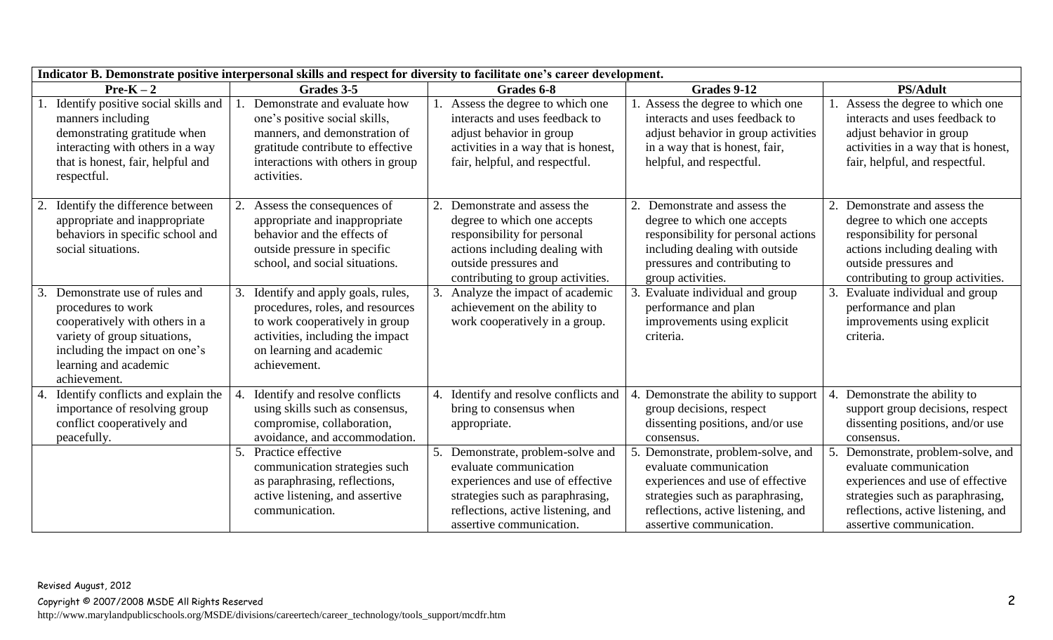| Indicator B. Demonstrate positive interpersonal skills and respect for diversity to facilitate one's career development.                                                                       |                                                                                                                                                                                         |                                                                                                                                                                                                       |                                                                                                                                                                                                     |                                                                                                                                                                                                     |  |
|------------------------------------------------------------------------------------------------------------------------------------------------------------------------------------------------|-----------------------------------------------------------------------------------------------------------------------------------------------------------------------------------------|-------------------------------------------------------------------------------------------------------------------------------------------------------------------------------------------------------|-----------------------------------------------------------------------------------------------------------------------------------------------------------------------------------------------------|-----------------------------------------------------------------------------------------------------------------------------------------------------------------------------------------------------|--|
| $Pre-K-2$                                                                                                                                                                                      | Grades 3-5                                                                                                                                                                              | Grades 6-8                                                                                                                                                                                            | Grades 9-12                                                                                                                                                                                         | <b>PS/Adult</b>                                                                                                                                                                                     |  |
| Identify positive social skills and<br>manners including<br>demonstrating gratitude when<br>interacting with others in a way<br>that is honest, fair, helpful and<br>respectful.               | Demonstrate and evaluate how<br>one's positive social skills,<br>manners, and demonstration of<br>gratitude contribute to effective<br>interactions with others in group<br>activities. | Assess the degree to which one<br>interacts and uses feedback to<br>adjust behavior in group<br>activities in a way that is honest,<br>fair, helpful, and respectful.                                 | Assess the degree to which one<br>interacts and uses feedback to<br>adjust behavior in group activities<br>in a way that is honest, fair,<br>helpful, and respectful.                               | Assess the degree to which one<br>interacts and uses feedback to<br>adjust behavior in group<br>activities in a way that is honest,<br>fair, helpful, and respectful.                               |  |
| Identify the difference between<br>appropriate and inappropriate<br>behaviors in specific school and<br>social situations.                                                                     | Assess the consequences of<br>appropriate and inappropriate<br>behavior and the effects of<br>outside pressure in specific<br>school, and social situations.                            | Demonstrate and assess the<br>2.<br>degree to which one accepts<br>responsibility for personal<br>actions including dealing with<br>outside pressures and<br>contributing to group activities.        | Demonstrate and assess the<br>degree to which one accepts<br>responsibility for personal actions<br>including dealing with outside<br>pressures and contributing to<br>group activities.            | Demonstrate and assess the<br>2.<br>degree to which one accepts<br>responsibility for personal<br>actions including dealing with<br>outside pressures and<br>contributing to group activities.      |  |
| Demonstrate use of rules and<br>procedures to work<br>cooperatively with others in a<br>variety of group situations,<br>including the impact on one's<br>learning and academic<br>achievement. | Identify and apply goals, rules,<br>procedures, roles, and resources<br>to work cooperatively in group<br>activities, including the impact<br>on learning and academic<br>achievement.  | Analyze the impact of academic<br>3.<br>achievement on the ability to<br>work cooperatively in a group.                                                                                               | 3. Evaluate individual and group<br>performance and plan<br>improvements using explicit<br>criteria.                                                                                                | Evaluate individual and group<br>performance and plan<br>improvements using explicit<br>criteria.                                                                                                   |  |
| Identify conflicts and explain the<br>4.<br>importance of resolving group<br>conflict cooperatively and<br>peacefully.                                                                         | Identify and resolve conflicts<br>using skills such as consensus,<br>compromise, collaboration,<br>avoidance, and accommodation.                                                        | Identify and resolve conflicts and<br>4.<br>bring to consensus when<br>appropriate.                                                                                                                   | Demonstrate the ability to support<br>group decisions, respect<br>dissenting positions, and/or use<br>consensus.                                                                                    | Demonstrate the ability to<br>4.<br>support group decisions, respect<br>dissenting positions, and/or use<br>consensus.                                                                              |  |
|                                                                                                                                                                                                | Practice effective<br>communication strategies such<br>as paraphrasing, reflections,<br>active listening, and assertive<br>communication.                                               | 5. Demonstrate, problem-solve and<br>evaluate communication<br>experiences and use of effective<br>strategies such as paraphrasing,<br>reflections, active listening, and<br>assertive communication. | Demonstrate, problem-solve, and<br>evaluate communication<br>experiences and use of effective<br>strategies such as paraphrasing,<br>reflections, active listening, and<br>assertive communication. | Demonstrate, problem-solve, and<br>evaluate communication<br>experiences and use of effective<br>strategies such as paraphrasing,<br>reflections, active listening, and<br>assertive communication. |  |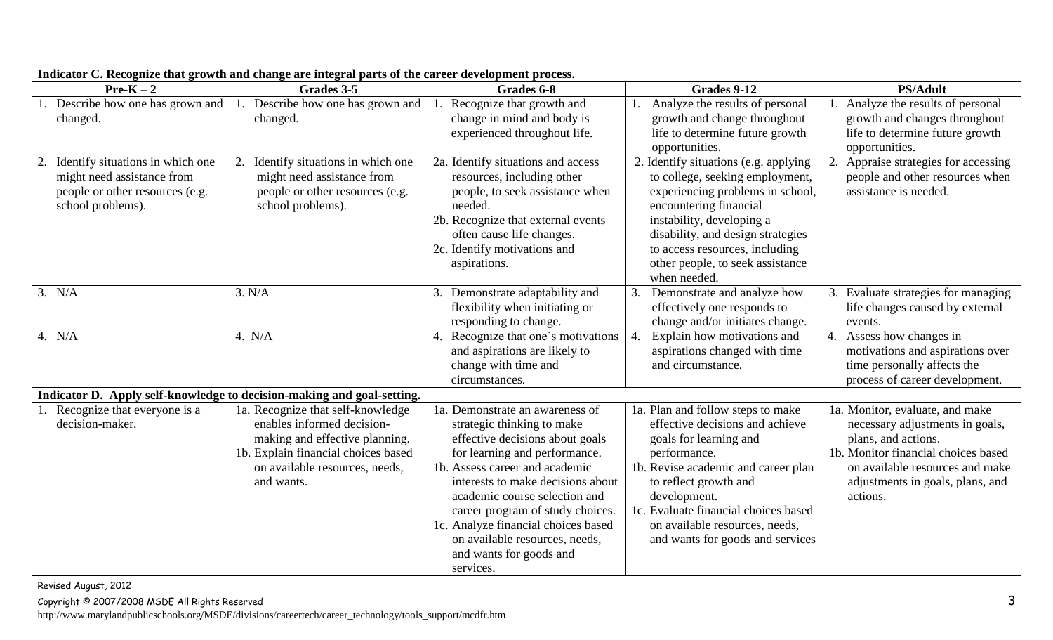| Indicator C. Recognize that growth and change are integral parts of the career development process.                          |                                                                                                                                                                                          |                                                                                                                                                                                                                                                                                                                                                                                                |                                                                                                                                                                                                                                                                                                              |                                                                                                                                                                                                                     |
|------------------------------------------------------------------------------------------------------------------------------|------------------------------------------------------------------------------------------------------------------------------------------------------------------------------------------|------------------------------------------------------------------------------------------------------------------------------------------------------------------------------------------------------------------------------------------------------------------------------------------------------------------------------------------------------------------------------------------------|--------------------------------------------------------------------------------------------------------------------------------------------------------------------------------------------------------------------------------------------------------------------------------------------------------------|---------------------------------------------------------------------------------------------------------------------------------------------------------------------------------------------------------------------|
| $Pre-K-2$                                                                                                                    | Grades 3-5                                                                                                                                                                               | Grades 6-8                                                                                                                                                                                                                                                                                                                                                                                     | Grades 9-12                                                                                                                                                                                                                                                                                                  | <b>PS/Adult</b>                                                                                                                                                                                                     |
| Describe how one has grown and<br>changed.                                                                                   | Describe how one has grown and<br>changed.                                                                                                                                               | Recognize that growth and<br>change in mind and body is<br>experienced throughout life.                                                                                                                                                                                                                                                                                                        | Analyze the results of personal<br>growth and change throughout<br>life to determine future growth<br>opportunities.                                                                                                                                                                                         | 1. Analyze the results of personal<br>growth and changes throughout<br>life to determine future growth<br>opportunities.                                                                                            |
| Identify situations in which one<br>2.<br>might need assistance from<br>people or other resources (e.g.<br>school problems). | Identify situations in which one<br>might need assistance from<br>people or other resources (e.g.<br>school problems).                                                                   | 2a. Identify situations and access<br>resources, including other<br>people, to seek assistance when<br>needed.<br>2b. Recognize that external events<br>often cause life changes.<br>2c. Identify motivations and<br>aspirations.                                                                                                                                                              | 2. Identify situations (e.g. applying<br>to college, seeking employment,<br>experiencing problems in school,<br>encountering financial<br>instability, developing a<br>disability, and design strategies<br>to access resources, including<br>other people, to seek assistance<br>when needed.               | 2.<br>Appraise strategies for accessing<br>people and other resources when<br>assistance is needed.                                                                                                                 |
| 3. N/A                                                                                                                       | 3. N/A                                                                                                                                                                                   | Demonstrate adaptability and<br>3.<br>flexibility when initiating or<br>responding to change.                                                                                                                                                                                                                                                                                                  | 3.<br>Demonstrate and analyze how<br>effectively one responds to<br>change and/or initiates change.                                                                                                                                                                                                          | 3. Evaluate strategies for managing<br>life changes caused by external<br>events.                                                                                                                                   |
| 4. $N/A$                                                                                                                     | 4. N/A                                                                                                                                                                                   | Recognize that one's motivations<br>4.<br>and aspirations are likely to<br>change with time and<br>circumstances.                                                                                                                                                                                                                                                                              | Explain how motivations and<br>aspirations changed with time<br>and circumstance.                                                                                                                                                                                                                            | 4.<br>Assess how changes in<br>motivations and aspirations over<br>time personally affects the<br>process of career development.                                                                                    |
|                                                                                                                              | Indicator D. Apply self-knowledge to decision-making and goal-setting.                                                                                                                   |                                                                                                                                                                                                                                                                                                                                                                                                |                                                                                                                                                                                                                                                                                                              |                                                                                                                                                                                                                     |
| Recognize that everyone is a<br>decision-maker.                                                                              | 1a. Recognize that self-knowledge<br>enables informed decision-<br>making and effective planning.<br>1b. Explain financial choices based<br>on available resources, needs,<br>and wants. | 1a. Demonstrate an awareness of<br>strategic thinking to make<br>effective decisions about goals<br>for learning and performance.<br>1b. Assess career and academic<br>interests to make decisions about<br>academic course selection and<br>career program of study choices.<br>1c. Analyze financial choices based<br>on available resources, needs,<br>and wants for goods and<br>services. | 1a. Plan and follow steps to make<br>effective decisions and achieve<br>goals for learning and<br>performance.<br>1b. Revise academic and career plan<br>to reflect growth and<br>development.<br>1c. Evaluate financial choices based<br>on available resources, needs,<br>and wants for goods and services | 1a. Monitor, evaluate, and make<br>necessary adjustments in goals,<br>plans, and actions.<br>1b. Monitor financial choices based<br>on available resources and make<br>adjustments in goals, plans, and<br>actions. |

Revised August, 2012

Copyright © 2007/2008 MSDE All Rights Reserved 3

http://www.marylandpublicschools.org/MSDE/divisions/careertech/career\_technology/tools\_support/mcdfr.htm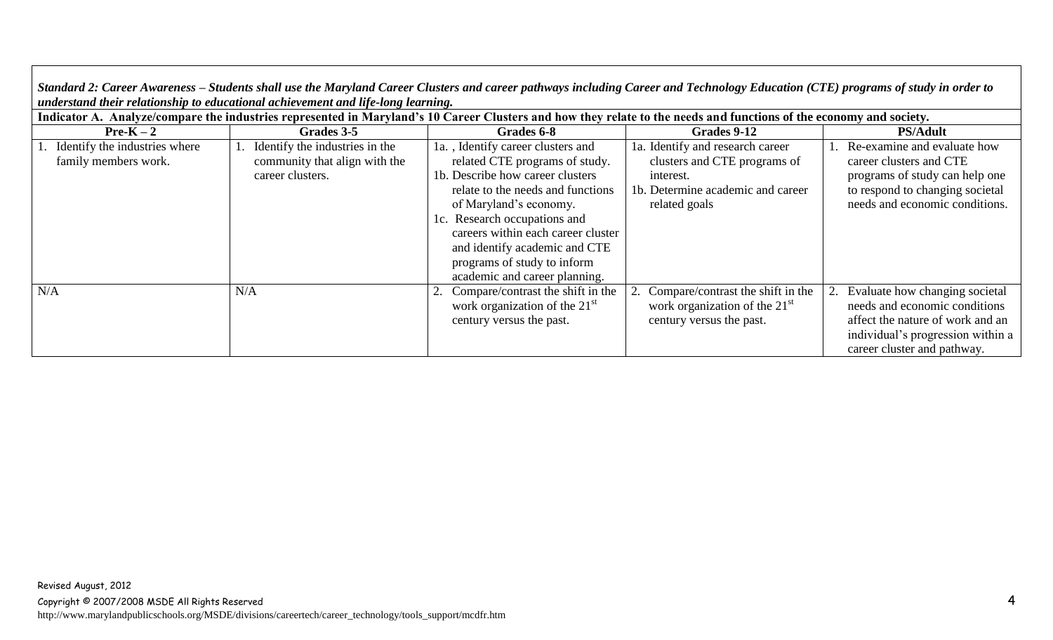*Standard 2: Career Awareness – Students shall use the Maryland Career Clusters and career pathways including Career and Technology Education (CTE) programs of study in order to understand their relationship to educational achievement and life-long learning.*

| Indicator A. Analyze/compare the industries represented in Maryland's 10 Career Clusters and how they relate to the needs and functions of the economy and society. |                                                                                     |                                                                                                                                                                                                                                                                                                                                               |                                                                                                                                     |                                                                                                                                                                         |  |
|---------------------------------------------------------------------------------------------------------------------------------------------------------------------|-------------------------------------------------------------------------------------|-----------------------------------------------------------------------------------------------------------------------------------------------------------------------------------------------------------------------------------------------------------------------------------------------------------------------------------------------|-------------------------------------------------------------------------------------------------------------------------------------|-------------------------------------------------------------------------------------------------------------------------------------------------------------------------|--|
| $Pre-K-2$                                                                                                                                                           | Grades 3-5                                                                          | Grades 6-8                                                                                                                                                                                                                                                                                                                                    | Grades 9-12                                                                                                                         | <b>PS/Adult</b>                                                                                                                                                         |  |
| 1. Identify the industries where<br>family members work.                                                                                                            | Identify the industries in the<br>community that align with the<br>career clusters. | 1a., Identify career clusters and<br>related CTE programs of study.<br>1b. Describe how career clusters<br>relate to the needs and functions<br>of Maryland's economy.<br>1c. Research occupations and<br>careers within each career cluster<br>and identify academic and CTE<br>programs of study to inform<br>academic and career planning. | 1a. Identify and research career<br>clusters and CTE programs of<br>interest.<br>1b. Determine academic and career<br>related goals | Re-examine and evaluate how<br>career clusters and CTE<br>programs of study can help one<br>to respond to changing societal<br>needs and economic conditions.           |  |
| N/A                                                                                                                                                                 | N/A                                                                                 | 2. Compare/contrast the shift in the<br>work organization of the $21st$<br>century versus the past.                                                                                                                                                                                                                                           | Compare/contrast the shift in the<br>work organization of the $21st$<br>century versus the past.                                    | Evaluate how changing societal<br>needs and economic conditions<br>affect the nature of work and an<br>individual's progression within a<br>career cluster and pathway. |  |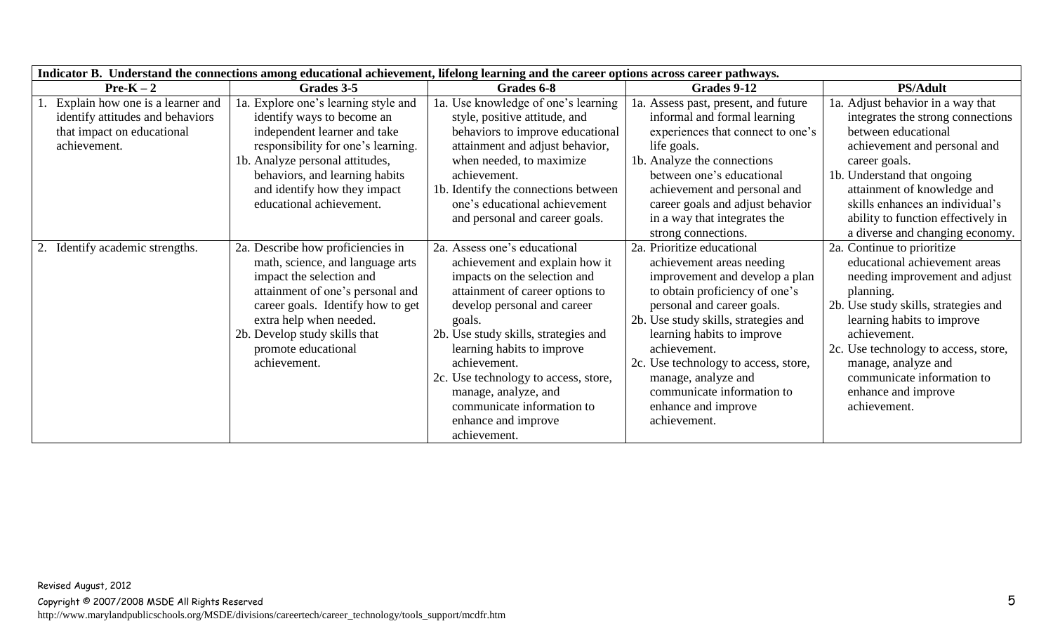| Indicator B. Understand the connections among educational achievement, lifelong learning and the career options across career pathways. |                                                                                                                                                                                                                                                                               |                                                                                                                                                                                                                                                                                                                                                                                                       |                                                                                                                                                                                                                                                                                                                                                                                     |                                                                                                                                                                                                                                                                                                                                      |
|-----------------------------------------------------------------------------------------------------------------------------------------|-------------------------------------------------------------------------------------------------------------------------------------------------------------------------------------------------------------------------------------------------------------------------------|-------------------------------------------------------------------------------------------------------------------------------------------------------------------------------------------------------------------------------------------------------------------------------------------------------------------------------------------------------------------------------------------------------|-------------------------------------------------------------------------------------------------------------------------------------------------------------------------------------------------------------------------------------------------------------------------------------------------------------------------------------------------------------------------------------|--------------------------------------------------------------------------------------------------------------------------------------------------------------------------------------------------------------------------------------------------------------------------------------------------------------------------------------|
| $Pre-K-2$                                                                                                                               | Grades 3-5                                                                                                                                                                                                                                                                    | Grades 6-8                                                                                                                                                                                                                                                                                                                                                                                            | Grades 9-12                                                                                                                                                                                                                                                                                                                                                                         | <b>PS/Adult</b>                                                                                                                                                                                                                                                                                                                      |
| Explain how one is a learner and<br>identify attitudes and behaviors<br>that impact on educational<br>achievement.                      | 1a. Explore one's learning style and<br>identify ways to become an<br>independent learner and take<br>responsibility for one's learning.<br>1b. Analyze personal attitudes,<br>behaviors, and learning habits<br>and identify how they impact<br>educational achievement.     | 1a. Use knowledge of one's learning<br>style, positive attitude, and<br>behaviors to improve educational<br>attainment and adjust behavior,<br>when needed, to maximize<br>achievement.<br>1b. Identify the connections between<br>one's educational achievement<br>and personal and career goals.                                                                                                    | 1a. Assess past, present, and future<br>informal and formal learning<br>experiences that connect to one's<br>life goals.<br>1b. Analyze the connections<br>between one's educational<br>achievement and personal and<br>career goals and adjust behavior<br>in a way that integrates the<br>strong connections.                                                                     | 1a. Adjust behavior in a way that<br>integrates the strong connections<br>between educational<br>achievement and personal and<br>career goals.<br>1b. Understand that ongoing<br>attainment of knowledge and<br>skills enhances an individual's<br>ability to function effectively in<br>a diverse and changing economy.             |
| Identify academic strengths.<br>2.                                                                                                      | 2a. Describe how proficiencies in<br>math, science, and language arts<br>impact the selection and<br>attainment of one's personal and<br>career goals. Identify how to get<br>extra help when needed.<br>2b. Develop study skills that<br>promote educational<br>achievement. | 2a. Assess one's educational<br>achievement and explain how it<br>impacts on the selection and<br>attainment of career options to<br>develop personal and career<br>goals.<br>2b. Use study skills, strategies and<br>learning habits to improve<br>achievement.<br>2c. Use technology to access, store,<br>manage, analyze, and<br>communicate information to<br>enhance and improve<br>achievement. | 2a. Prioritize educational<br>achievement areas needing<br>improvement and develop a plan<br>to obtain proficiency of one's<br>personal and career goals.<br>2b. Use study skills, strategies and<br>learning habits to improve<br>achievement.<br>2c. Use technology to access, store,<br>manage, analyze and<br>communicate information to<br>enhance and improve<br>achievement. | 2a. Continue to prioritize<br>educational achievement areas<br>needing improvement and adjust<br>planning.<br>2b. Use study skills, strategies and<br>learning habits to improve<br>achievement.<br>2c. Use technology to access, store,<br>manage, analyze and<br>communicate information to<br>enhance and improve<br>achievement. |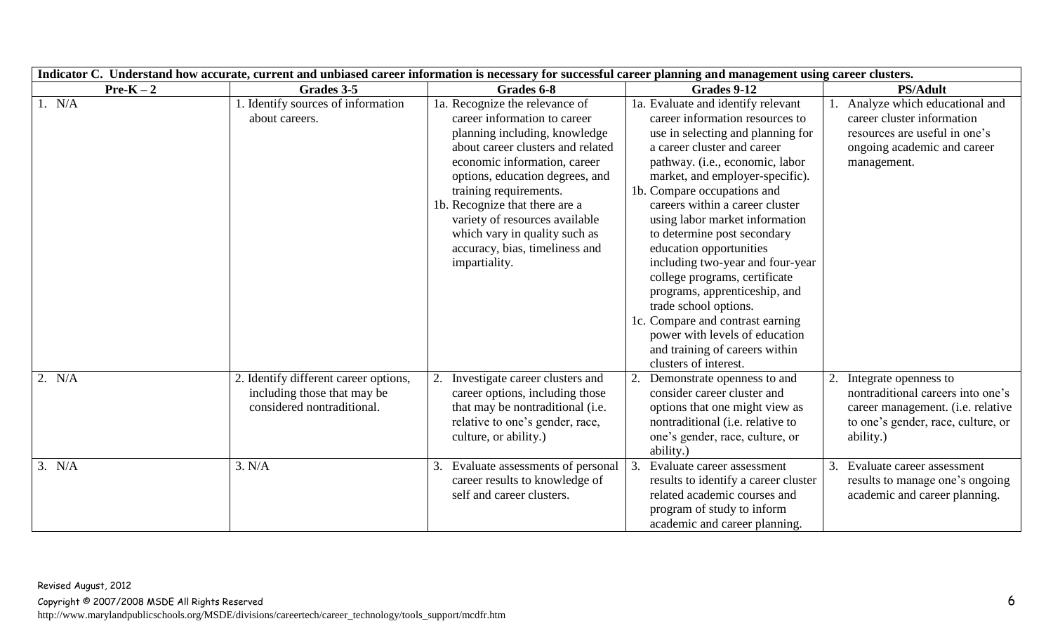| Indicator C. Understand how accurate, current and unbiased career information is necessary for successful career planning and management using career clusters. |                                                                                                    |                                                                                                                                                                                                                                                                                                                                                                                           |                                                                                                                                                                                                                                                                                                                                                                                                                                                                                                                                                                                                                                               |                                                                                                                                                    |
|-----------------------------------------------------------------------------------------------------------------------------------------------------------------|----------------------------------------------------------------------------------------------------|-------------------------------------------------------------------------------------------------------------------------------------------------------------------------------------------------------------------------------------------------------------------------------------------------------------------------------------------------------------------------------------------|-----------------------------------------------------------------------------------------------------------------------------------------------------------------------------------------------------------------------------------------------------------------------------------------------------------------------------------------------------------------------------------------------------------------------------------------------------------------------------------------------------------------------------------------------------------------------------------------------------------------------------------------------|----------------------------------------------------------------------------------------------------------------------------------------------------|
| $Pre-K-2$                                                                                                                                                       | Grades 3-5                                                                                         | Grades 6-8                                                                                                                                                                                                                                                                                                                                                                                | Grades 9-12                                                                                                                                                                                                                                                                                                                                                                                                                                                                                                                                                                                                                                   | <b>PS/Adult</b>                                                                                                                                    |
| 1. N/A                                                                                                                                                          | 1. Identify sources of information<br>about careers.                                               | 1a. Recognize the relevance of<br>career information to career<br>planning including, knowledge<br>about career clusters and related<br>economic information, career<br>options, education degrees, and<br>training requirements.<br>1b. Recognize that there are a<br>variety of resources available<br>which vary in quality such as<br>accuracy, bias, timeliness and<br>impartiality. | 1a. Evaluate and identify relevant<br>career information resources to<br>use in selecting and planning for<br>a career cluster and career<br>pathway. (i.e., economic, labor<br>market, and employer-specific).<br>1b. Compare occupations and<br>careers within a career cluster<br>using labor market information<br>to determine post secondary<br>education opportunities<br>including two-year and four-year<br>college programs, certificate<br>programs, apprenticeship, and<br>trade school options.<br>1c. Compare and contrast earning<br>power with levels of education<br>and training of careers within<br>clusters of interest. | Analyze which educational and<br>career cluster information<br>resources are useful in one's<br>ongoing academic and career<br>management.         |
| 2. N/A                                                                                                                                                          | 2. Identify different career options,<br>including those that may be<br>considered nontraditional. | Investigate career clusters and<br>career options, including those<br>that may be nontraditional (i.e.<br>relative to one's gender, race,<br>culture, or ability.)                                                                                                                                                                                                                        | Demonstrate openness to and<br>consider career cluster and<br>options that one might view as<br>nontraditional ( <i>i.e.</i> relative to<br>one's gender, race, culture, or<br>ability.)                                                                                                                                                                                                                                                                                                                                                                                                                                                      | Integrate openness to<br>nontraditional careers into one's<br>career management. (i.e. relative<br>to one's gender, race, culture, or<br>ability.) |
| 3. N/A                                                                                                                                                          | 3. N/A                                                                                             | Evaluate assessments of personal<br>3.<br>career results to knowledge of<br>self and career clusters.                                                                                                                                                                                                                                                                                     | Evaluate career assessment<br>results to identify a career cluster<br>related academic courses and<br>program of study to inform<br>academic and career planning.                                                                                                                                                                                                                                                                                                                                                                                                                                                                             | Evaluate career assessment<br>results to manage one's ongoing<br>academic and career planning.                                                     |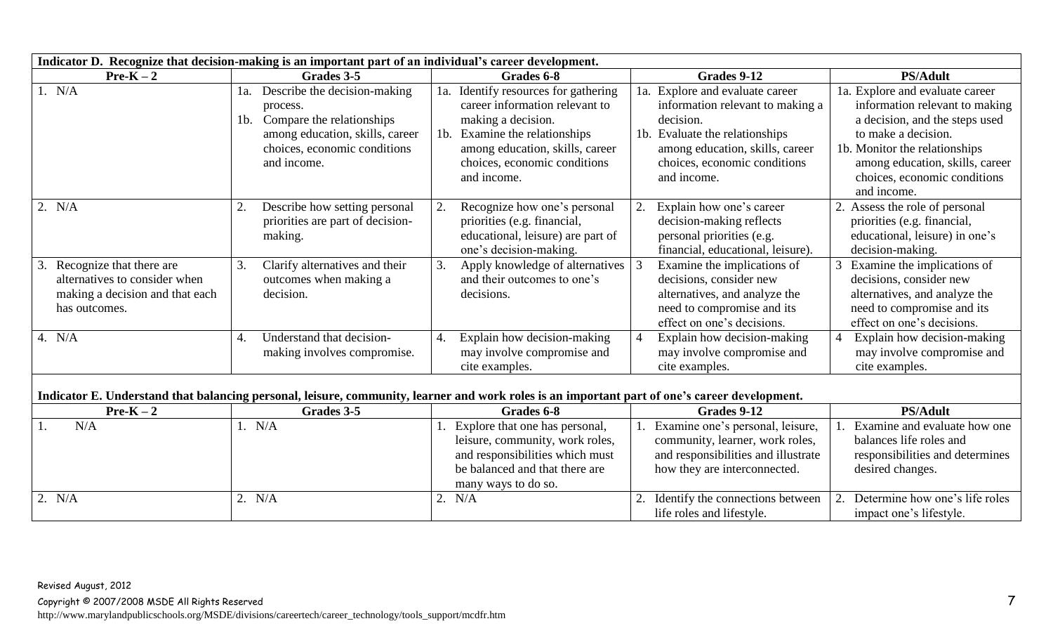| Indicator D. Recognize that decision-making is an important part of an individual's career development.       |                                                                                                                                                                          |                                                                                                                                                                                                                       |                                                                                                                                                                                                      |                                                                                                                                                                                                                                               |
|---------------------------------------------------------------------------------------------------------------|--------------------------------------------------------------------------------------------------------------------------------------------------------------------------|-----------------------------------------------------------------------------------------------------------------------------------------------------------------------------------------------------------------------|------------------------------------------------------------------------------------------------------------------------------------------------------------------------------------------------------|-----------------------------------------------------------------------------------------------------------------------------------------------------------------------------------------------------------------------------------------------|
| $Pre-K-2$                                                                                                     | Grades 3-5                                                                                                                                                               | Grades 6-8                                                                                                                                                                                                            | Grades 9-12                                                                                                                                                                                          | <b>PS/Adult</b>                                                                                                                                                                                                                               |
| 1. N/A                                                                                                        | Describe the decision-making<br>1a.<br>process.<br>Compare the relationships<br>$1b$ .<br>among education, skills, career<br>choices, economic conditions<br>and income. | 1a. Identify resources for gathering<br>career information relevant to<br>making a decision.<br>Examine the relationships<br>$1b$ .<br>among education, skills, career<br>choices, economic conditions<br>and income. | 1a. Explore and evaluate career<br>information relevant to making a<br>decision.<br>1b. Evaluate the relationships<br>among education, skills, career<br>choices, economic conditions<br>and income. | 1a. Explore and evaluate career<br>information relevant to making<br>a decision, and the steps used<br>to make a decision.<br>1b. Monitor the relationships<br>among education, skills, career<br>choices, economic conditions<br>and income. |
| 2. N/A                                                                                                        | Describe how setting personal<br>2.<br>priorities are part of decision-<br>making.                                                                                       | Recognize how one's personal<br>priorities (e.g. financial,<br>educational, leisure) are part of<br>one's decision-making.                                                                                            | Explain how one's career<br>2.<br>decision-making reflects<br>personal priorities (e.g.<br>financial, educational, leisure).                                                                         | 2. Assess the role of personal<br>priorities (e.g. financial,<br>educational, leisure) in one's<br>decision-making.                                                                                                                           |
| Recognize that there are<br>alternatives to consider when<br>making a decision and that each<br>has outcomes. | Clarify alternatives and their<br>3.<br>outcomes when making a<br>decision.                                                                                              | Apply knowledge of alternatives<br>3.<br>and their outcomes to one's<br>decisions.                                                                                                                                    | Examine the implications of<br>decisions, consider new<br>alternatives, and analyze the<br>need to compromise and its<br>effect on one's decisions.                                                  | Examine the implications of<br>decisions, consider new<br>alternatives, and analyze the<br>need to compromise and its<br>effect on one's decisions.                                                                                           |
| 4. $N/A$                                                                                                      | Understand that decision-<br>4.<br>making involves compromise.                                                                                                           | Explain how decision-making<br>4.<br>may involve compromise and<br>cite examples.                                                                                                                                     | Explain how decision-making<br>may involve compromise and<br>cite examples.                                                                                                                          | Explain how decision-making<br>may involve compromise and<br>cite examples.                                                                                                                                                                   |
|                                                                                                               | Indicator E. Understand that balancing personal, leisure, community, learner and work roles is an important part of one's career development.                            |                                                                                                                                                                                                                       |                                                                                                                                                                                                      |                                                                                                                                                                                                                                               |
| $Pre-K-2$                                                                                                     | Grades 3-5                                                                                                                                                               | Grades 6-8                                                                                                                                                                                                            | Grades 9-12                                                                                                                                                                                          | <b>PS/Adult</b>                                                                                                                                                                                                                               |
| N/A<br>1.                                                                                                     | 1. N/A                                                                                                                                                                   | Explore that one has personal,<br>leisure, community, work roles,<br>and responsibilities which must<br>be balanced and that there are<br>many ways to do so.                                                         | Examine one's personal, leisure,<br>community, learner, work roles,<br>and responsibilities and illustrate<br>how they are interconnected.                                                           | Examine and evaluate how one<br>balances life roles and<br>responsibilities and determines<br>desired changes.                                                                                                                                |
| 2. N/A                                                                                                        | 2. N/A                                                                                                                                                                   | 2. N/A                                                                                                                                                                                                                | Identify the connections between<br>life roles and lifestyle.                                                                                                                                        | Determine how one's life roles<br>impact one's lifestyle.                                                                                                                                                                                     |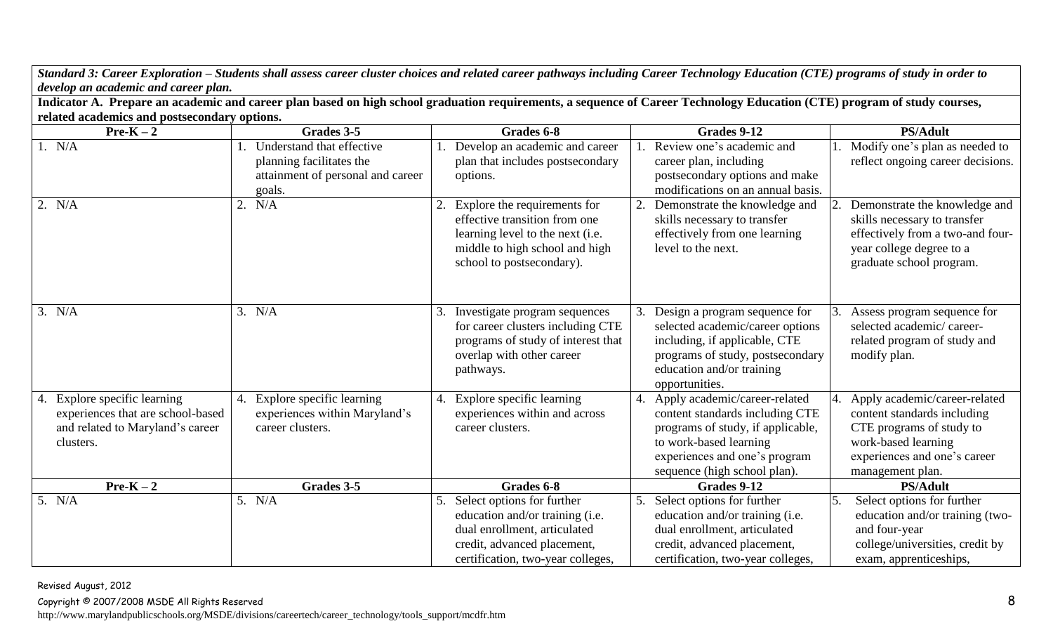*Standard 3: Career Exploration – Students shall assess career cluster choices and related career pathways including Career Technology Education (CTE) programs of study in order to develop an academic and career plan.*

**Indicator A. Prepare an academic and career plan based on high school graduation requirements, a sequence of Career Technology Education (CTE) program of study courses, related academics and postsecondary options.**

| $Pre-K-2$                                                                                                             | Grades 3-5                                                                                           | Grades 6-8                                                                                                                                                              | Grades 9-12                                                                                                                                                                                         | <b>PS/Adult</b>                                                                                                                                                     |
|-----------------------------------------------------------------------------------------------------------------------|------------------------------------------------------------------------------------------------------|-------------------------------------------------------------------------------------------------------------------------------------------------------------------------|-----------------------------------------------------------------------------------------------------------------------------------------------------------------------------------------------------|---------------------------------------------------------------------------------------------------------------------------------------------------------------------|
| 1. N/A                                                                                                                | Understand that effective<br>planning facilitates the<br>attainment of personal and career<br>goals. | Develop an academic and career<br>plan that includes postsecondary<br>options.                                                                                          | Review one's academic and<br>career plan, including<br>postsecondary options and make<br>modifications on an annual basis.                                                                          | Modify one's plan as needed to<br>reflect ongoing career decisions.                                                                                                 |
| 2. N/A                                                                                                                | 2. $N/A$                                                                                             | 2. Explore the requirements for<br>effective transition from one<br>learning level to the next (i.e.<br>middle to high school and high<br>school to postsecondary).     | 2. Demonstrate the knowledge and<br>skills necessary to transfer<br>effectively from one learning<br>level to the next.                                                                             | Demonstrate the knowledge and<br>skills necessary to transfer<br>effectively from a two-and four-<br>year college degree to a<br>graduate school program.           |
| 3. N/A                                                                                                                | 3. N/A                                                                                               | Investigate program sequences<br>3.<br>for career clusters including CTE<br>programs of study of interest that<br>overlap with other career<br>pathways.                | 3. Design a program sequence for<br>selected academic/career options<br>including, if applicable, CTE<br>programs of study, postsecondary<br>education and/or training<br>opportunities.            | Assess program sequence for<br>selected academic/career-<br>related program of study and<br>modify plan.                                                            |
| Explore specific learning<br>4.<br>experiences that are school-based<br>and related to Maryland's career<br>clusters. | 4. Explore specific learning<br>experiences within Maryland's<br>career clusters.                    | 4. Explore specific learning<br>experiences within and across<br>career clusters.                                                                                       | 4. Apply academic/career-related<br>content standards including CTE<br>programs of study, if applicable,<br>to work-based learning<br>experiences and one's program<br>sequence (high school plan). | Apply academic/career-related<br>content standards including<br>CTE programs of study to<br>work-based learning<br>experiences and one's career<br>management plan. |
| $Pre-K-2$                                                                                                             | Grades 3-5                                                                                           | Grades 6-8                                                                                                                                                              | Grades 9-12                                                                                                                                                                                         | <b>PS/Adult</b>                                                                                                                                                     |
| 5. N/A                                                                                                                | 5. N/A                                                                                               | Select options for further<br>5.<br>education and/or training (i.e.<br>dual enrollment, articulated<br>credit, advanced placement,<br>certification, two-year colleges, | 5. Select options for further<br>education and/or training (i.e.<br>dual enrollment, articulated<br>credit, advanced placement,<br>certification, two-year colleges,                                | Select options for further<br>education and/or training (two-<br>and four-year<br>college/universities, credit by<br>exam, apprenticeships,                         |

Revised August, 2012

 $Copyright \textdegree$  2007/2008 MSDE All Rights Reserved  $8$ 

http://www.marylandpublicschools.org/MSDE/divisions/careertech/career\_technology/tools\_support/mcdfr.htm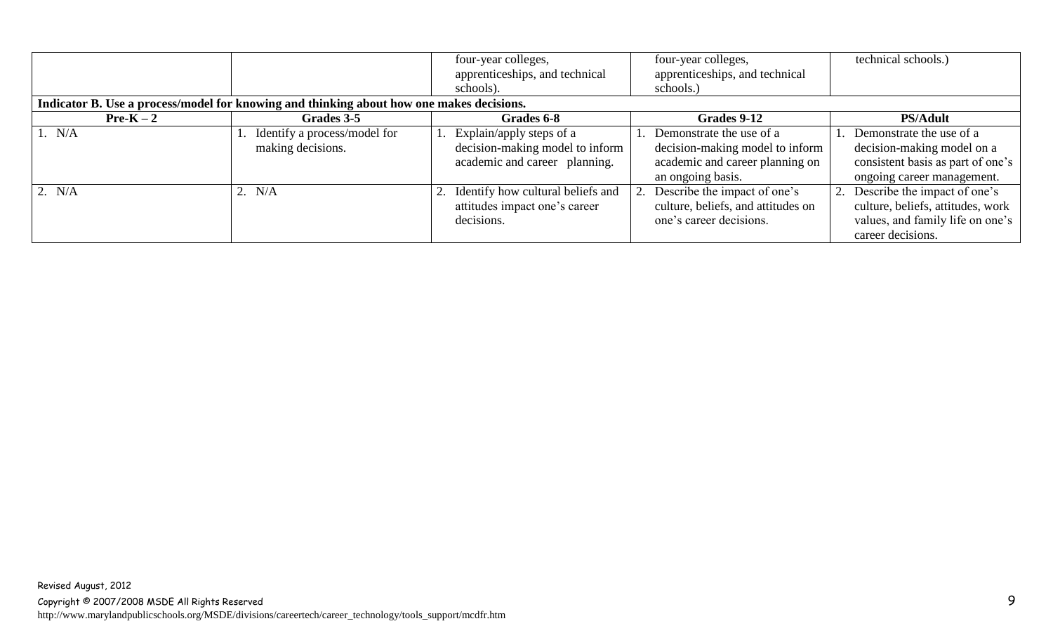|           | Indicator B. Use a process/model for knowing and thinking about how one makes decisions. | four-year colleges,<br>apprenticeships, and technical<br>schools).                              | four-year colleges,<br>apprenticeships, and technical<br>schools.)                                                     | technical schools.)                                                                                                           |
|-----------|------------------------------------------------------------------------------------------|-------------------------------------------------------------------------------------------------|------------------------------------------------------------------------------------------------------------------------|-------------------------------------------------------------------------------------------------------------------------------|
| $Pre-K-2$ | Grades 3-5                                                                               | Grades 6-8                                                                                      | Grades 9-12                                                                                                            | <b>PS/Adult</b>                                                                                                               |
| 1. N/A    | 1. Identify a process/model for<br>making decisions.                                     | 1. Explain/apply steps of a<br>decision-making model to inform<br>academic and career planning. | 1. Demonstrate the use of a<br>decision-making model to inform<br>academic and career planning on<br>an ongoing basis. | 1. Demonstrate the use of a<br>decision-making model on a<br>consistent basis as part of one's<br>ongoing career management.  |
| 2. $N/A$  | 2. $N/A$                                                                                 | 2. Identify how cultural beliefs and<br>attitudes impact one's career<br>decisions.             | 2. Describe the impact of one's<br>culture, beliefs, and attitudes on<br>one's career decisions.                       | 2. Describe the impact of one's<br>culture, beliefs, attitudes, work<br>values, and family life on one's<br>career decisions. |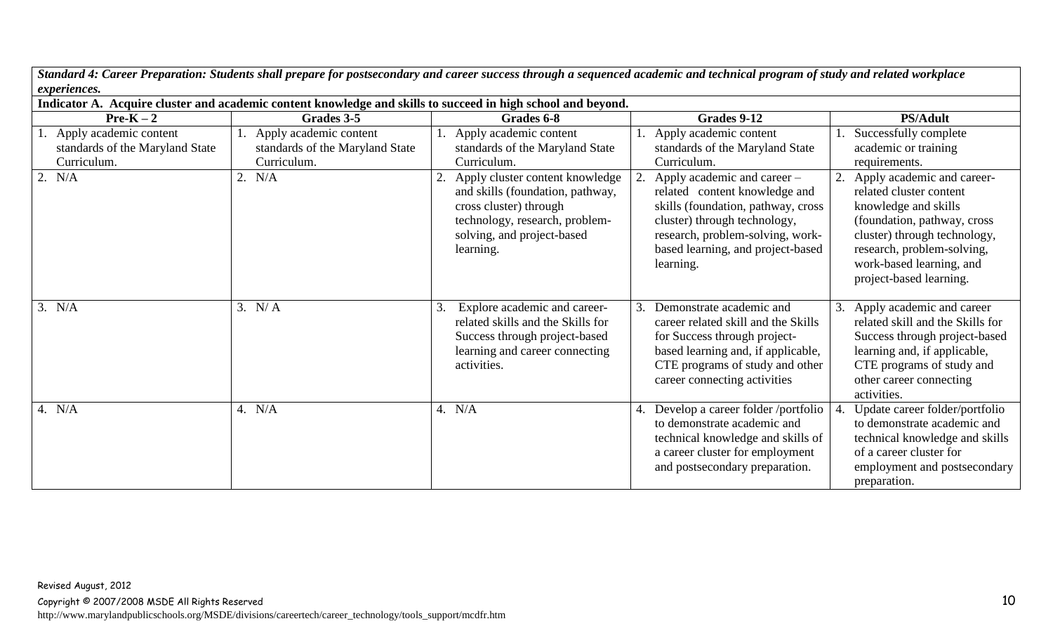*Standard 4: Career Preparation: Students shall prepare for postsecondary and career success through a sequenced academic and technical program of study and related workplace experiences.*

| Indicator A. Acquire cluster and academic content knowledge and skills to succeed in high school and beyond. |                                                                             |                                                                                                                                                                            |                                                                                                                                                                                                                                |                                                                                                                                                                                                                                   |
|--------------------------------------------------------------------------------------------------------------|-----------------------------------------------------------------------------|----------------------------------------------------------------------------------------------------------------------------------------------------------------------------|--------------------------------------------------------------------------------------------------------------------------------------------------------------------------------------------------------------------------------|-----------------------------------------------------------------------------------------------------------------------------------------------------------------------------------------------------------------------------------|
| $Pre-K-2$                                                                                                    | Grades 3-5                                                                  | Grades 6-8                                                                                                                                                                 | Grades 9-12                                                                                                                                                                                                                    | <b>PS/Adult</b>                                                                                                                                                                                                                   |
| 1. Apply academic content<br>standards of the Maryland State<br>Curriculum.                                  | 1. Apply academic content<br>standards of the Maryland State<br>Curriculum. | Apply academic content<br>standards of the Maryland State<br>Curriculum.                                                                                                   | Apply academic content<br>standards of the Maryland State<br>Curriculum.                                                                                                                                                       | Successfully complete<br>academic or training<br>requirements.                                                                                                                                                                    |
| 2. N/A                                                                                                       | 2. N/A                                                                      | Apply cluster content knowledge<br>and skills (foundation, pathway,<br>cross cluster) through<br>technology, research, problem-<br>solving, and project-based<br>learning. | Apply academic and career –<br>2.<br>related content knowledge and<br>skills (foundation, pathway, cross<br>cluster) through technology,<br>research, problem-solving, work-<br>based learning, and project-based<br>learning. | Apply academic and career-<br>related cluster content<br>knowledge and skills<br>(foundation, pathway, cross<br>cluster) through technology,<br>research, problem-solving,<br>work-based learning, and<br>project-based learning. |
| 3. N/A                                                                                                       | 3. N/A                                                                      | Explore academic and career-<br>related skills and the Skills for<br>Success through project-based<br>learning and career connecting<br>activities.                        | Demonstrate academic and<br>career related skill and the Skills<br>for Success through project-<br>based learning and, if applicable,<br>CTE programs of study and other<br>career connecting activities                       | Apply academic and career<br>3.<br>related skill and the Skills for<br>Success through project-based<br>learning and, if applicable,<br>CTE programs of study and<br>other career connecting<br>activities.                       |
| 4. N/A                                                                                                       | 4. N/A                                                                      | 4. $N/A$                                                                                                                                                                   | Develop a career folder /portfolio<br>to demonstrate academic and<br>technical knowledge and skills of<br>a career cluster for employment<br>and postsecondary preparation.                                                    | Update career folder/portfolio<br>to demonstrate academic and<br>technical knowledge and skills<br>of a career cluster for<br>employment and postsecondary<br>preparation.                                                        |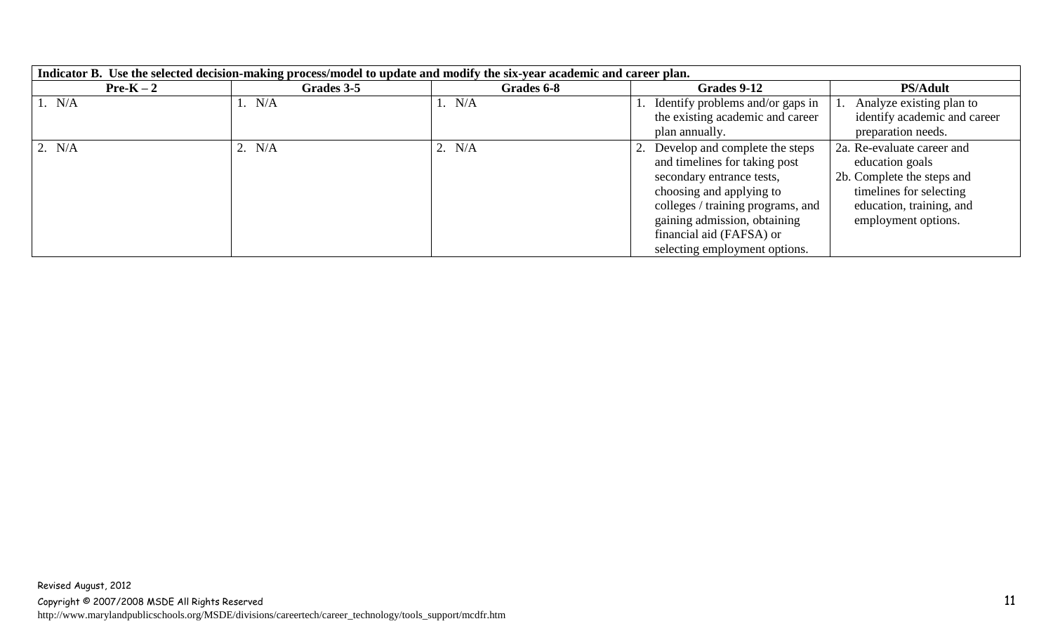| Indicator B. Use the selected decision-making process/model to update and modify the six-year academic and career plan. |            |            |                                     |                              |
|-------------------------------------------------------------------------------------------------------------------------|------------|------------|-------------------------------------|------------------------------|
| $Pre-K-2$                                                                                                               | Grades 3-5 | Grades 6-8 | Grades 9-12                         | <b>PS/Adult</b>              |
| 1. N/A                                                                                                                  | 1. N/A     | 1. $N/A$   | 1. Identify problems and/or gaps in | 1. Analyze existing plan to  |
|                                                                                                                         |            |            | the existing academic and career    | identify academic and career |
|                                                                                                                         |            |            | plan annually.                      | preparation needs.           |
| 2. N/A                                                                                                                  | 2. $N/A$   | 2. N/A     | 2. Develop and complete the steps   | 2a. Re-evaluate career and   |
|                                                                                                                         |            |            | and timelines for taking post       | education goals              |
|                                                                                                                         |            |            | secondary entrance tests,           | 2b. Complete the steps and   |
|                                                                                                                         |            |            | choosing and applying to            | timelines for selecting      |
|                                                                                                                         |            |            | colleges / training programs, and   | education, training, and     |
|                                                                                                                         |            |            | gaining admission, obtaining        | employment options.          |
|                                                                                                                         |            |            | financial aid (FAFSA) or            |                              |
|                                                                                                                         |            |            | selecting employment options.       |                              |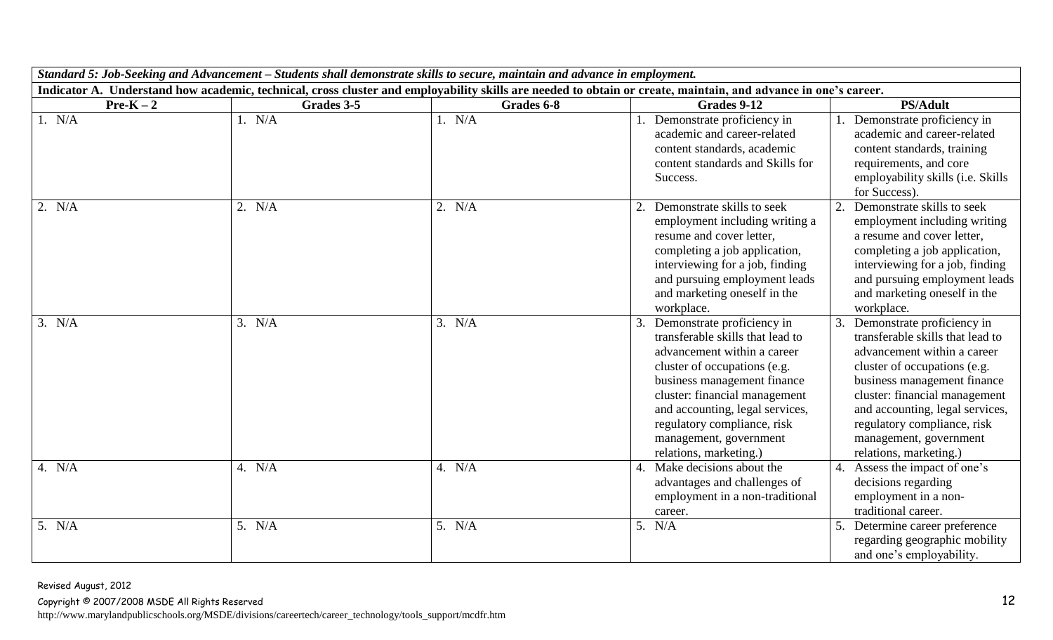|           | Standard 5: Job-Seeking and Advancement – Students shall demonstrate skills to secure, maintain and advance in employment. |            |                                                                                                                                                                                                                                                                                                                        |                                                                                                                                                                                                                                                                                                                     |
|-----------|----------------------------------------------------------------------------------------------------------------------------|------------|------------------------------------------------------------------------------------------------------------------------------------------------------------------------------------------------------------------------------------------------------------------------------------------------------------------------|---------------------------------------------------------------------------------------------------------------------------------------------------------------------------------------------------------------------------------------------------------------------------------------------------------------------|
|           |                                                                                                                            |            | Indicator A. Understand how academic, technical, cross cluster and employability skills are needed to obtain or create, maintain, and advance in one's career.                                                                                                                                                         |                                                                                                                                                                                                                                                                                                                     |
| $Pre-K-2$ | Grades 3-5                                                                                                                 | Grades 6-8 | Grades 9-12                                                                                                                                                                                                                                                                                                            | <b>PS/Adult</b>                                                                                                                                                                                                                                                                                                     |
| 1. $N/A$  | 1. $N/A$                                                                                                                   | 1. N/A     | 1. Demonstrate proficiency in<br>academic and career-related<br>content standards, academic<br>content standards and Skills for<br>Success.                                                                                                                                                                            | Demonstrate proficiency in<br>academic and career-related<br>content standards, training<br>requirements, and core<br>employability skills (i.e. Skills<br>for Success).                                                                                                                                            |
| 2. N/A    | 2. N/A                                                                                                                     | 2. N/A     | Demonstrate skills to seek<br>employment including writing a<br>resume and cover letter,<br>completing a job application,<br>interviewing for a job, finding<br>and pursuing employment leads<br>and marketing oneself in the<br>workplace.                                                                            | 2.<br>Demonstrate skills to seek<br>employment including writing<br>a resume and cover letter,<br>completing a job application,<br>interviewing for a job, finding<br>and pursuing employment leads<br>and marketing oneself in the<br>workplace.                                                                   |
| 3. N/A    | 3. N/A                                                                                                                     | 3. N/A     | 3. Demonstrate proficiency in<br>transferable skills that lead to<br>advancement within a career<br>cluster of occupations (e.g.<br>business management finance<br>cluster: financial management<br>and accounting, legal services,<br>regulatory compliance, risk<br>management, government<br>relations, marketing.) | Demonstrate proficiency in<br>transferable skills that lead to<br>advancement within a career<br>cluster of occupations (e.g.<br>business management finance<br>cluster: financial management<br>and accounting, legal services,<br>regulatory compliance, risk<br>management, government<br>relations, marketing.) |
| 4. $N/A$  | 4. $N/A$                                                                                                                   | 4. $N/A$   | 4. Make decisions about the<br>advantages and challenges of<br>employment in a non-traditional<br>career.                                                                                                                                                                                                              | 4. Assess the impact of one's<br>decisions regarding<br>employment in a non-<br>traditional career.                                                                                                                                                                                                                 |
| 5. N/A    | 5. N/A                                                                                                                     | 5. N/A     | 5. N/A                                                                                                                                                                                                                                                                                                                 | Determine career preference<br>regarding geographic mobility<br>and one's employability.                                                                                                                                                                                                                            |

Revised August, 2012 Copyright © 2007/2008 MSDE All Rights Reserved 12 http://www.marylandpublicschools.org/MSDE/divisions/careertech/career\_technology/tools\_support/mcdfr.htm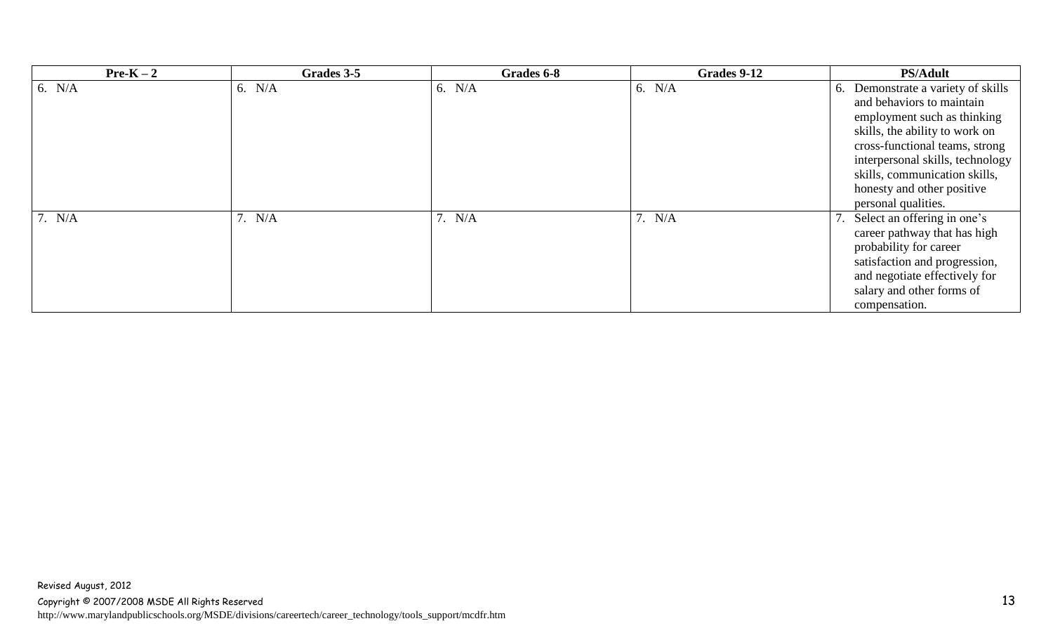| $Pre-K-2$ | Grades 3-5 | Grades 6-8 | Grades 9-12 | <b>PS/Adult</b>                    |
|-----------|------------|------------|-------------|------------------------------------|
| 6. $N/A$  | 6. $N/A$   | 6. $N/A$   | 6. $N/A$    | 6. Demonstrate a variety of skills |
|           |            |            |             | and behaviors to maintain          |
|           |            |            |             | employment such as thinking        |
|           |            |            |             | skills, the ability to work on     |
|           |            |            |             | cross-functional teams, strong     |
|           |            |            |             | interpersonal skills, technology   |
|           |            |            |             | skills, communication skills,      |
|           |            |            |             | honesty and other positive         |
|           |            |            |             | personal qualities.                |
| 7. N/A    | 7. $N/A$   | 7. N/A     | 7. N/A      | Select an offering in one's        |
|           |            |            |             | career pathway that has high       |
|           |            |            |             | probability for career             |
|           |            |            |             | satisfaction and progression,      |
|           |            |            |             | and negotiate effectively for      |
|           |            |            |             | salary and other forms of          |
|           |            |            |             | compensation.                      |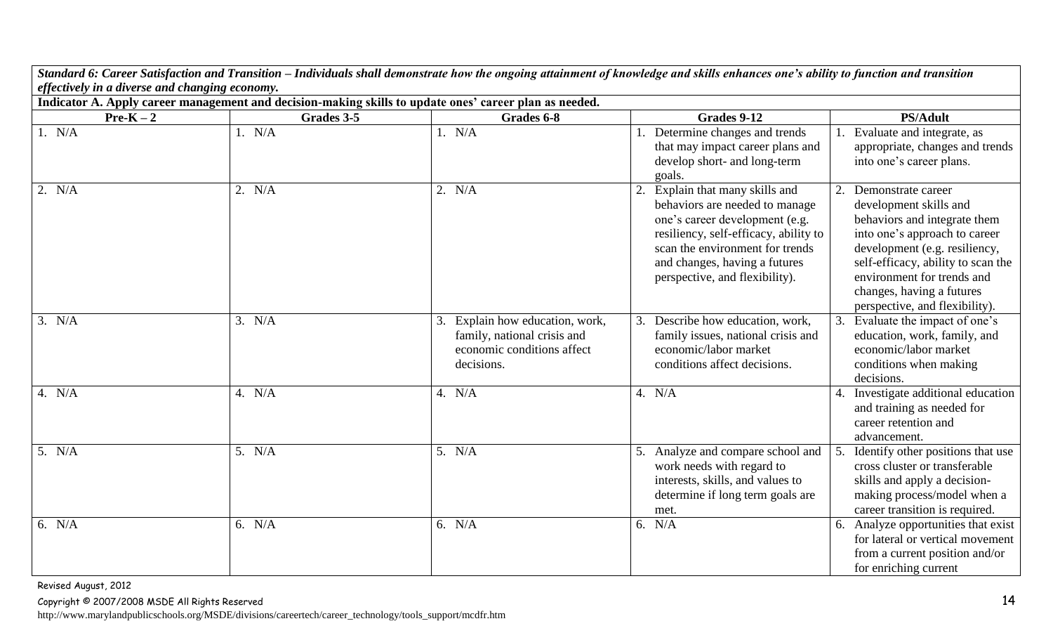*Standard 6: Career Satisfaction and Transition – Individuals shall demonstrate how the ongoing attainment of knowledge and skills enhances one's ability to function and transition effectively in a diverse and changing economy.*

| Indicator A. Apply career management and decision-making skills to update ones' career plan as needed. |            |                                                                                                         |                                                                                                                                                                                                                                                 |                                                                                                                                                                                                                                                                                   |  |  |  |
|--------------------------------------------------------------------------------------------------------|------------|---------------------------------------------------------------------------------------------------------|-------------------------------------------------------------------------------------------------------------------------------------------------------------------------------------------------------------------------------------------------|-----------------------------------------------------------------------------------------------------------------------------------------------------------------------------------------------------------------------------------------------------------------------------------|--|--|--|
| $Pre-K-2$                                                                                              | Grades 3-5 | Grades 6-8                                                                                              | Grades 9-12                                                                                                                                                                                                                                     | <b>PS/Adult</b>                                                                                                                                                                                                                                                                   |  |  |  |
| 1. $N/A$                                                                                               | 1. N/A     | 1. N/A                                                                                                  | Determine changes and trends<br>that may impact career plans and<br>develop short- and long-term<br>goals.                                                                                                                                      | Evaluate and integrate, as<br>appropriate, changes and trends<br>into one's career plans.                                                                                                                                                                                         |  |  |  |
| 2. N/A                                                                                                 | 2. N/A     | 2. N/A                                                                                                  | Explain that many skills and<br>behaviors are needed to manage<br>one's career development (e.g.<br>resiliency, self-efficacy, ability to<br>scan the environment for trends<br>and changes, having a futures<br>perspective, and flexibility). | Demonstrate career<br>development skills and<br>behaviors and integrate them<br>into one's approach to career<br>development (e.g. resiliency,<br>self-efficacy, ability to scan the<br>environment for trends and<br>changes, having a futures<br>perspective, and flexibility). |  |  |  |
| 3. N/A                                                                                                 | 3. N/A     | Explain how education, work,<br>family, national crisis and<br>economic conditions affect<br>decisions. | Describe how education, work,<br>family issues, national crisis and<br>economic/labor market<br>conditions affect decisions.                                                                                                                    | Evaluate the impact of one's<br>education, work, family, and<br>economic/labor market<br>conditions when making<br>decisions.                                                                                                                                                     |  |  |  |
| 4. N/A                                                                                                 | 4. N/A     | 4. N/A                                                                                                  | 4. N/A                                                                                                                                                                                                                                          | 4. Investigate additional education<br>and training as needed for<br>career retention and<br>advancement.                                                                                                                                                                         |  |  |  |
| 5. $N/A$                                                                                               | 5. N/A     | 5. $N/A$                                                                                                | 5. Analyze and compare school and<br>work needs with regard to<br>interests, skills, and values to<br>determine if long term goals are<br>met.                                                                                                  | Identify other positions that use<br>cross cluster or transferable<br>skills and apply a decision-<br>making process/model when a<br>career transition is required.                                                                                                               |  |  |  |
| 6. $N/A$                                                                                               | 6. $N/A$   | 6. $N/A$                                                                                                | 6. $N/A$                                                                                                                                                                                                                                        | 6. Analyze opportunities that exist<br>for lateral or vertical movement<br>from a current position and/or<br>for enriching current                                                                                                                                                |  |  |  |

Revised August, 2012

Copyright © 2007/2008 MSDE All Rights Reserved 14

http://www.marylandpublicschools.org/MSDE/divisions/careertech/career\_technology/tools\_support/mcdfr.htm